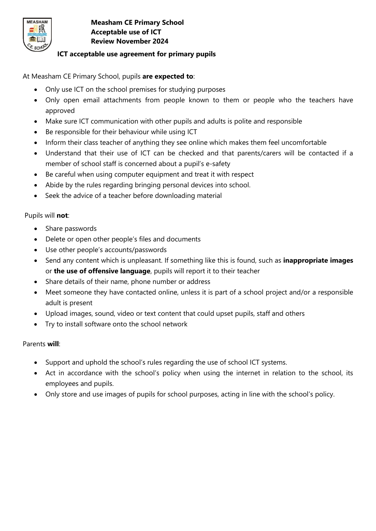

## **Measham CE Primary School Acceptable use of ICT Review November 2024**

# **ICT acceptable use agreement for primary pupils**

At Measham CE Primary School, pupils **are expected to**:

- Only use ICT on the school premises for studying purposes
- Only open email attachments from people known to them or people who the teachers have approved
- Make sure ICT communication with other pupils and adults is polite and responsible
- Be responsible for their behaviour while using ICT
- Inform their class teacher of anything they see online which makes them feel uncomfortable
- Understand that their use of ICT can be checked and that parents/carers will be contacted if a member of school staff is concerned about a pupil's e-safety
- Be careful when using computer equipment and treat it with respect
- Abide by the rules regarding bringing personal devices into school.
- Seek the advice of a teacher before downloading material

## Pupils will **not**:

- Share passwords
- Delete or open other people's files and documents
- Use other people's accounts/passwords
- Send any content which is unpleasant. If something like this is found, such as **inappropriate images** or **the use of offensive language**, pupils will report it to their teacher
- Share details of their name, phone number or address
- Meet someone they have contacted online, unless it is part of a school project and/or a responsible adult is present
- Upload images, sound, video or text content that could upset pupils, staff and others
- Try to install software onto the school network

## Parents **will**:

- Support and uphold the school's rules regarding the use of school ICT systems.
- Act in accordance with the school's policy when using the internet in relation to the school, its employees and pupils.
- Only store and use images of pupils for school purposes, acting in line with the school's policy.